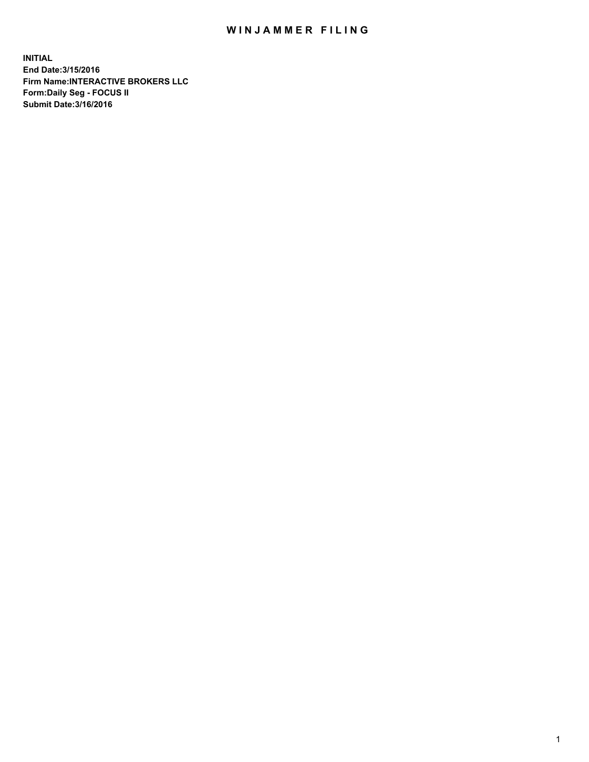## WIN JAMMER FILING

**INITIAL End Date:3/15/2016 Firm Name:INTERACTIVE BROKERS LLC Form:Daily Seg - FOCUS II Submit Date:3/16/2016**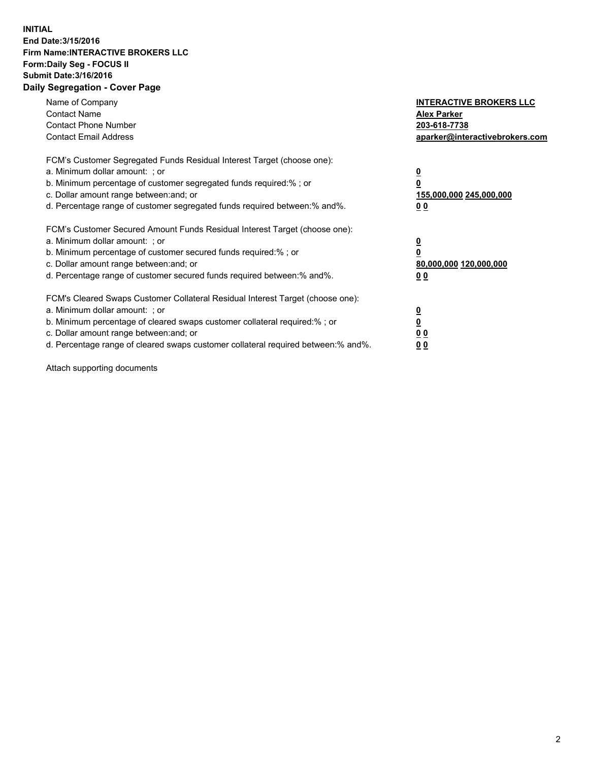## **INITIAL End Date:3/15/2016 Firm Name:INTERACTIVE BROKERS LLC Form:Daily Seg - FOCUS II Submit Date:3/16/2016 Daily Segregation - Cover Page**

| Name of Company<br><b>Contact Name</b><br><b>Contact Phone Number</b><br><b>Contact Email Address</b>                                                                                                                                                                                                                          | <b>INTERACTIVE BROKERS LLC</b><br><b>Alex Parker</b><br>203-618-7738<br>aparker@interactivebrokers.com |
|--------------------------------------------------------------------------------------------------------------------------------------------------------------------------------------------------------------------------------------------------------------------------------------------------------------------------------|--------------------------------------------------------------------------------------------------------|
| FCM's Customer Segregated Funds Residual Interest Target (choose one):<br>a. Minimum dollar amount: ; or<br>b. Minimum percentage of customer segregated funds required:%; or<br>c. Dollar amount range between: and; or<br>d. Percentage range of customer segregated funds required between:% and%.                          | <u>0</u><br>155,000,000 245,000,000<br><u>0 0</u>                                                      |
| FCM's Customer Secured Amount Funds Residual Interest Target (choose one):<br>a. Minimum dollar amount: ; or<br>b. Minimum percentage of customer secured funds required:% ; or<br>c. Dollar amount range between: and; or<br>d. Percentage range of customer secured funds required between:% and%.                           | <u>0</u><br>80,000,000 120,000,000<br><u>0 0</u>                                                       |
| FCM's Cleared Swaps Customer Collateral Residual Interest Target (choose one):<br>a. Minimum dollar amount: ; or<br>b. Minimum percentage of cleared swaps customer collateral required:% ; or<br>c. Dollar amount range between: and; or<br>d. Percentage range of cleared swaps customer collateral required between:% and%. | <u>0</u><br>0 <sub>0</sub><br>0 <sub>0</sub>                                                           |

Attach supporting documents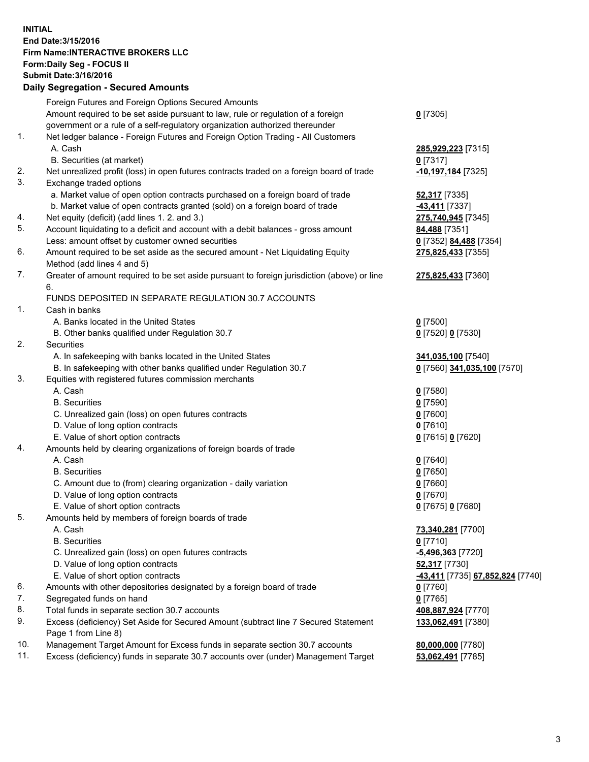## **INITIAL End Date:3/15/2016 Firm Name:INTERACTIVE BROKERS LLC Form:Daily Seg - FOCUS II Submit Date:3/16/2016 Daily Segregation - Secured Amounts**

|                | Daily Jegregation - Jeculed Aniounts                                                        |                                  |
|----------------|---------------------------------------------------------------------------------------------|----------------------------------|
|                | Foreign Futures and Foreign Options Secured Amounts                                         |                                  |
|                | Amount required to be set aside pursuant to law, rule or regulation of a foreign            | $0$ [7305]                       |
|                | government or a rule of a self-regulatory organization authorized thereunder                |                                  |
| 1.             | Net ledger balance - Foreign Futures and Foreign Option Trading - All Customers             |                                  |
|                | A. Cash                                                                                     | 285,929,223 [7315]               |
|                | B. Securities (at market)                                                                   | 0 [7317]                         |
| 2.             | Net unrealized profit (loss) in open futures contracts traded on a foreign board of trade   | 10,197,184 [7325]                |
| 3.             | Exchange traded options                                                                     |                                  |
|                | a. Market value of open option contracts purchased on a foreign board of trade              | <b>52,317</b> [7335]             |
|                | b. Market value of open contracts granted (sold) on a foreign board of trade                | -43,411 [7337]                   |
| 4.             | Net equity (deficit) (add lines 1.2. and 3.)                                                | 275,740,945 [7345]               |
| 5.             | Account liquidating to a deficit and account with a debit balances - gross amount           | 84,488 [7351]                    |
|                | Less: amount offset by customer owned securities                                            | 0 [7352] 84,488 [7354]           |
| 6.             | Amount required to be set aside as the secured amount - Net Liquidating Equity              | 275,825,433 [7355]               |
|                | Method (add lines 4 and 5)                                                                  |                                  |
| 7.             | Greater of amount required to be set aside pursuant to foreign jurisdiction (above) or line | 275,825,433 [7360]               |
|                | 6.                                                                                          |                                  |
|                | FUNDS DEPOSITED IN SEPARATE REGULATION 30.7 ACCOUNTS                                        |                                  |
| $\mathbf{1}$ . | Cash in banks                                                                               |                                  |
|                | A. Banks located in the United States                                                       | $0$ [7500]                       |
|                | B. Other banks qualified under Regulation 30.7                                              | 0 [7520] 0 [7530]                |
| 2.             | Securities                                                                                  |                                  |
|                | A. In safekeeping with banks located in the United States                                   | 341,035,100 [7540]               |
|                | B. In safekeeping with other banks qualified under Regulation 30.7                          | 0 [7560] 341,035,100 [7570]      |
| 3.             | Equities with registered futures commission merchants                                       |                                  |
|                | A. Cash                                                                                     | $0$ [7580]                       |
|                | <b>B.</b> Securities                                                                        | $0$ [7590]                       |
|                | C. Unrealized gain (loss) on open futures contracts                                         | $0$ [7600]                       |
|                | D. Value of long option contracts                                                           | $0$ [7610]                       |
|                | E. Value of short option contracts                                                          | 0 [7615] 0 [7620]                |
| 4.             | Amounts held by clearing organizations of foreign boards of trade                           |                                  |
|                | A. Cash                                                                                     | $0$ [7640]                       |
|                | <b>B.</b> Securities                                                                        | $0$ [7650]                       |
|                | C. Amount due to (from) clearing organization - daily variation                             | $0$ [7660]                       |
|                | D. Value of long option contracts                                                           | $0$ [7670]                       |
|                | E. Value of short option contracts                                                          | 0 [7675] 0 [7680]                |
| 5.             | Amounts held by members of foreign boards of trade                                          |                                  |
|                | A. Cash                                                                                     | 73,340,281 [7700]                |
|                | <b>B.</b> Securities                                                                        | $0$ [7710]                       |
|                | C. Unrealized gain (loss) on open futures contracts                                         | $-5,496,363$ [7720]              |
|                | D. Value of long option contracts                                                           | 52,317 [7730]                    |
|                | E. Value of short option contracts                                                          | -43,411 [7735] 67,852,824 [7740] |
| 6.             | Amounts with other depositories designated by a foreign board of trade                      | 0 [7760]                         |
| 7.             | Segregated funds on hand                                                                    | $0$ [7765]                       |
| 8.             | Total funds in separate section 30.7 accounts                                               | 408,887,924 [7770]               |
| 9.             | Excess (deficiency) Set Aside for Secured Amount (subtract line 7 Secured Statement         | 133,062,491 [7380]               |
|                | Page 1 from Line 8)                                                                         |                                  |
| 10.            | Management Target Amount for Excess funds in separate section 30.7 accounts                 | 80,000,000 [7780]                |
| 11.            | Excess (deficiency) funds in separate 30.7 accounts over (under) Management Target          | 53,062,491 [7785]                |
|                |                                                                                             |                                  |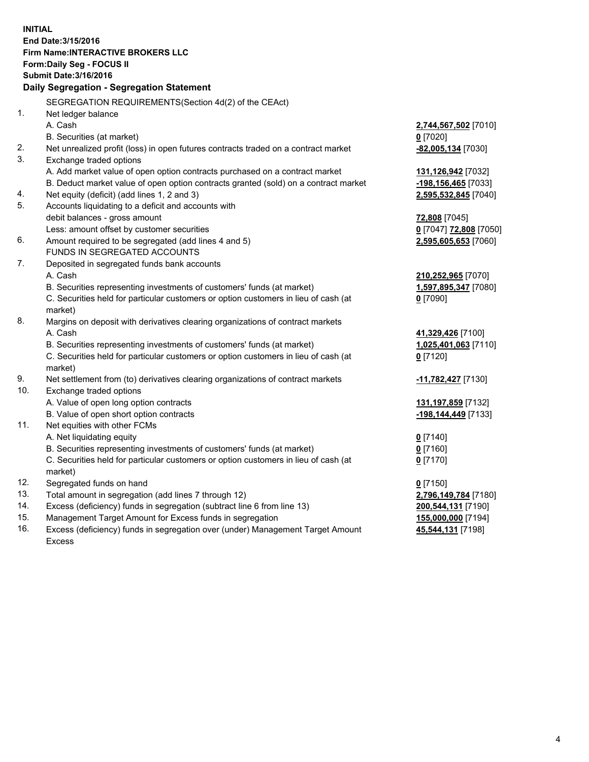**INITIAL End Date:3/15/2016 Firm Name:INTERACTIVE BROKERS LLC Form:Daily Seg - FOCUS II Submit Date:3/16/2016 Daily Segregation - Segregation Statement** SEGREGATION REQUIREMENTS(Section 4d(2) of the CEAct) 1. Net ledger balance A. Cash **2,744,567,502** [7010] B. Securities (at market) **0** [7020] 2. Net unrealized profit (loss) in open futures contracts traded on a contract market **-82,005,134** [7030] 3. Exchange traded options A. Add market value of open option contracts purchased on a contract market **131,126,942** [7032] B. Deduct market value of open option contracts granted (sold) on a contract market **-198,156,465** [7033] 4. Net equity (deficit) (add lines 1, 2 and 3) **2,595,532,845** [7040] 5. Accounts liquidating to a deficit and accounts with debit balances - gross amount **72,808** [7045] Less: amount offset by customer securities **0** [7047] **72,808** [7050] 6. Amount required to be segregated (add lines 4 and 5) **2,595,605,653** [7060] FUNDS IN SEGREGATED ACCOUNTS 7. Deposited in segregated funds bank accounts A. Cash **210,252,965** [7070] B. Securities representing investments of customers' funds (at market) **1,597,895,347** [7080] C. Securities held for particular customers or option customers in lieu of cash (at market) **0** [7090] 8. Margins on deposit with derivatives clearing organizations of contract markets A. Cash **41,329,426** [7100] B. Securities representing investments of customers' funds (at market) **1,025,401,063** [7110] C. Securities held for particular customers or option customers in lieu of cash (at market) **0** [7120] 9. Net settlement from (to) derivatives clearing organizations of contract markets **-11,782,427** [7130] 10. Exchange traded options A. Value of open long option contracts **131,197,859** [7132] B. Value of open short option contracts **-198,144,449** [7133] 11. Net equities with other FCMs A. Net liquidating equity **0** [7140] B. Securities representing investments of customers' funds (at market) **0** [7160] C. Securities held for particular customers or option customers in lieu of cash (at market) **0** [7170] 12. Segregated funds on hand **0** [7150] 13. Total amount in segregation (add lines 7 through 12) **2,796,149,784** [7180] 14. Excess (deficiency) funds in segregation (subtract line 6 from line 13) **200,544,131** [7190] 15. Management Target Amount for Excess funds in segregation **155,000,000** [7194] **45,544,131** [7198]

16. Excess (deficiency) funds in segregation over (under) Management Target Amount Excess